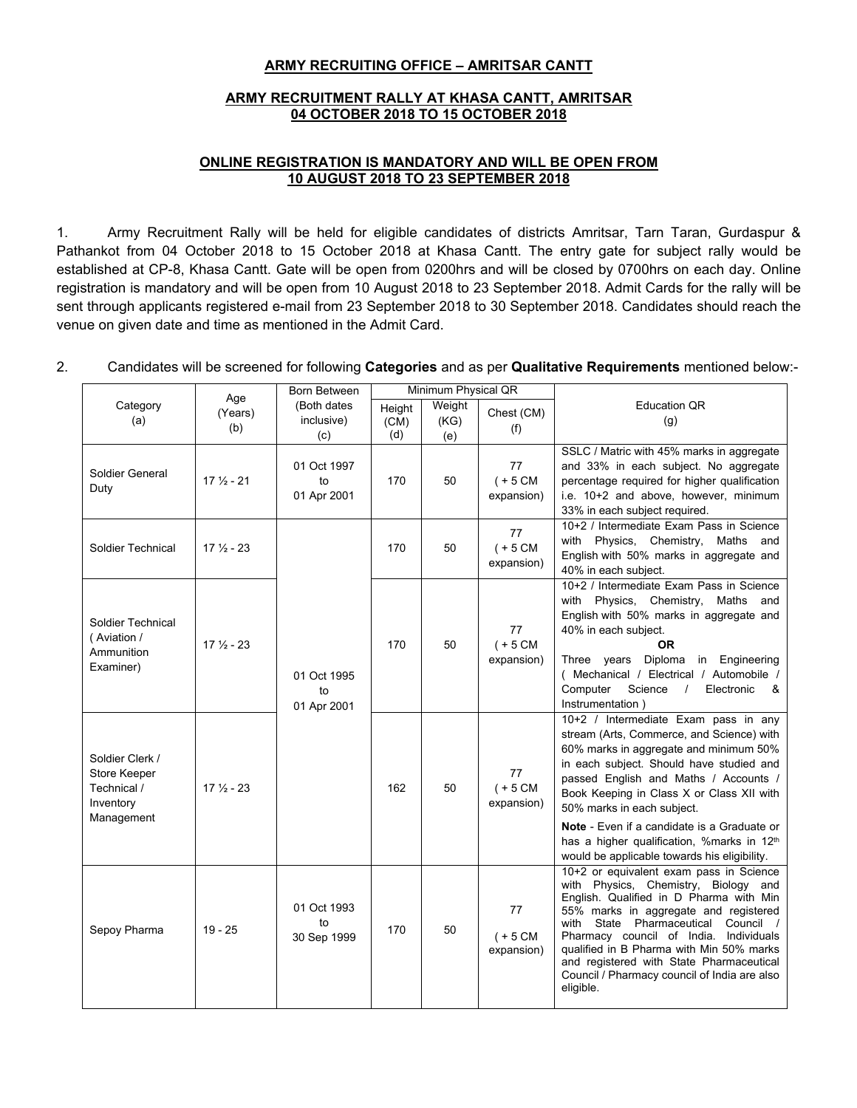## **ARMY RECRUITING OFFICE – AMRITSAR CANTT**

## **ARMY RECRUITMENT RALLY AT KHASA CANTT, AMRITSAR 04 OCTOBER 2018 TO 15 OCTOBER 2018**

## **ONLINE REGISTRATION IS MANDATORY AND WILL BE OPEN FROM 10 AUGUST 2018 TO 23 SEPTEMBER 2018**

1. Army Recruitment Rally will be held for eligible candidates of districts Amritsar, Tarn Taran, Gurdaspur & Pathankot from 04 October 2018 to 15 October 2018 at Khasa Cantt. The entry gate for subject rally would be established at CP-8, Khasa Cantt. Gate will be open from 0200hrs and will be closed by 0700hrs on each day. Online registration is mandatory and will be open from 10 August 2018 to 23 September 2018. Admit Cards for the rally will be sent through applicants registered e-mail from 23 September 2018 to 30 September 2018. Candidates should reach the venue on given date and time as mentioned in the Admit Card.

## 2. Candidates will be screened for following **Categories** and as per **Qualitative Requirements** mentioned below:-

|                                                                           | Age                  | Born Between                     |                       | Minimum Physical QR   |                                |                                                                                                                                                                                                                                                                                                                                                                                                                 |
|---------------------------------------------------------------------------|----------------------|----------------------------------|-----------------------|-----------------------|--------------------------------|-----------------------------------------------------------------------------------------------------------------------------------------------------------------------------------------------------------------------------------------------------------------------------------------------------------------------------------------------------------------------------------------------------------------|
| Category<br>(a)                                                           | (Years)<br>(b)       | (Both dates<br>inclusive)<br>(c) | Height<br>(CM)<br>(d) | Weight<br>(KG)<br>(e) | Chest (CM)<br>(f)              | <b>Education QR</b><br>(g)                                                                                                                                                                                                                                                                                                                                                                                      |
| Soldier General<br>Duty                                                   | $17\frac{1}{2} - 21$ | 01 Oct 1997<br>to<br>01 Apr 2001 | 170                   | 50                    | 77<br>$(+ 5 CM)$<br>expansion) | SSLC / Matric with 45% marks in aggregate<br>and 33% in each subject. No aggregate<br>percentage required for higher qualification<br>i.e. 10+2 and above, however, minimum<br>33% in each subject required.                                                                                                                                                                                                    |
| Soldier Technical                                                         | $17\frac{1}{2} - 23$ |                                  | 170                   | 50                    | 77<br>$(+ 5 CM)$<br>expansion) | 10+2 / Intermediate Exam Pass in Science<br>with Physics, Chemistry, Maths and<br>English with 50% marks in aggregate and<br>40% in each subject.                                                                                                                                                                                                                                                               |
| Soldier Technical<br>(Aviation /<br>Ammunition<br>Examiner)               | $17\frac{1}{2} - 23$ | 01 Oct 1995<br>to<br>01 Apr 2001 | 170                   | 50                    | 77<br>$(+ 5 CM)$<br>expansion) | 10+2 / Intermediate Exam Pass in Science<br>with Physics, Chemistry, Maths and<br>English with 50% marks in aggregate and<br>40% in each subject.<br>0R<br>Three years<br>Diploma<br>in Engineering<br>(Mechanical / Electrical / Automobile /<br>Computer<br>Science<br>Electronic<br>&<br>$\prime$<br>Instrumentation)                                                                                        |
| Soldier Clerk /<br>Store Keeper<br>Technical /<br>Inventory<br>Management | $17\frac{1}{2} - 23$ |                                  | 162                   | 50                    | 77<br>$(+ 5 CM)$<br>expansion) | 10+2 / Intermediate Exam pass in any<br>stream (Arts, Commerce, and Science) with<br>60% marks in aggregate and minimum 50%<br>in each subject. Should have studied and<br>passed English and Maths / Accounts /<br>Book Keeping in Class X or Class XII with<br>50% marks in each subject.<br>Note - Even if a candidate is a Graduate or                                                                      |
|                                                                           |                      |                                  |                       |                       |                                | has a higher qualification, %marks in 12th<br>would be applicable towards his eligibility.                                                                                                                                                                                                                                                                                                                      |
| Sepoy Pharma                                                              | $19 - 25$            | 01 Oct 1993<br>to<br>30 Sep 1999 | 170                   | 50                    | 77<br>$(+ 5 CM)$<br>expansion) | 10+2 or equivalent exam pass in Science<br>with Physics, Chemistry, Biology and<br>English. Qualified in D Pharma with Min<br>55% marks in aggregate and registered<br>Council /<br>State Pharmaceutical<br>with<br>Pharmacy council of India. Individuals<br>qualified in B Pharma with Min 50% marks<br>and registered with State Pharmaceutical<br>Council / Pharmacy council of India are also<br>eligible. |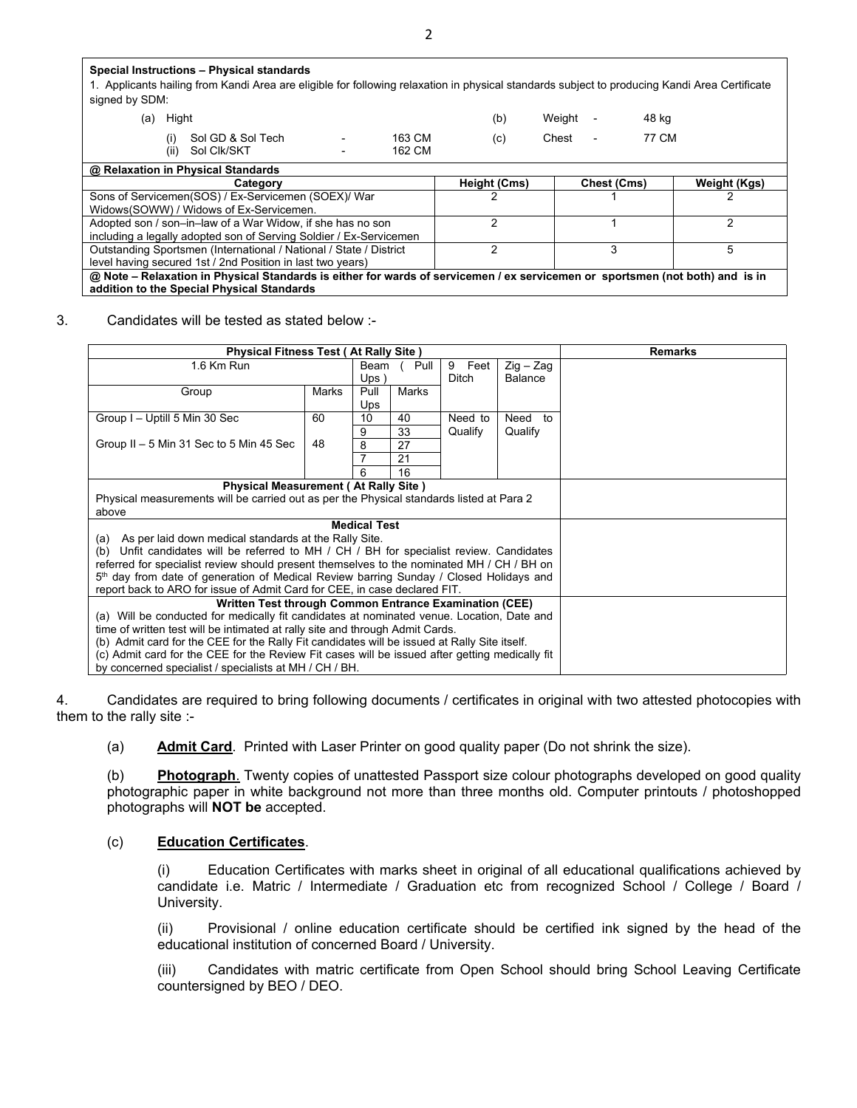**Special Instructions – Physical standards** 1. Applicants hailing from Kandi Area are eligible for following relaxation in physical standards subject to producing Kandi Area Certificate signed by SDM: (a) Hight (b) Weight - 48 kg (i) Sol GD & Sol Tech - 163 CM (c) Chest - 77 CM<br>(ii) Sol Clk/SKT - 162 CM (c) Chest - 77 CM (ii) Sol Clk/SKT **@ Relaxation in Physical Standards Category Height (Cms) Chest (Cms) Weight (Kgs)** Sons of Servicemen(SOS) / Ex-Servicemen (SOEX)/ War Widows(SOWW) / Widows of Ex-Servicemen. 2 1 2 Adopted son / son–in–law of a War Widow, if she has no son including a legally adopted son of Serving Soldier / Ex-Servicemen 2 1 2 Outstanding Sportsmen (International / National / State / District level having secured 1st / 2nd Position in last two years) 2 3 5 @ Note - Relaxation in Physical Standards is either for wards of servicemen / ex servicemen or sportsmen (not both) and is in **addition to the Special Physical Standards** 

#### 3. Candidates will be tested as stated below :-

| <b>Physical Fitness Test (At Rally Site)</b>                                                       | <b>Remarks</b> |                     |              |         |                       |  |
|----------------------------------------------------------------------------------------------------|----------------|---------------------|--------------|---------|-----------------------|--|
| 1.6 Km Run                                                                                         |                |                     | Beam<br>Pull |         | $Zig - Zag$           |  |
|                                                                                                    |                | $Ups$ )             |              | Ditch   | <b>Balance</b>        |  |
| Group                                                                                              | Marks          | Pull                | Marks        |         |                       |  |
|                                                                                                    |                | Ups                 |              |         |                       |  |
| Group I - Uptill 5 Min 30 Sec                                                                      | 60             | 10                  | 40           | Need to | Need<br>$\mathsf{to}$ |  |
|                                                                                                    |                | 9                   | 33           | Qualify | Qualify               |  |
| Group $II - 5$ Min 31 Sec to 5 Min 45 Sec                                                          | 48             | 8                   | 27           |         |                       |  |
|                                                                                                    |                |                     | 21           |         |                       |  |
|                                                                                                    |                | 6                   | 16           |         |                       |  |
| <b>Physical Measurement (At Rally Site)</b>                                                        |                |                     |              |         |                       |  |
| Physical measurements will be carried out as per the Physical standards listed at Para 2           |                |                     |              |         |                       |  |
| above                                                                                              |                |                     |              |         |                       |  |
|                                                                                                    |                | <b>Medical Test</b> |              |         |                       |  |
| (a) As per laid down medical standards at the Rally Site.                                          |                |                     |              |         |                       |  |
| Unfit candidates will be referred to MH / CH / BH for specialist review. Candidates<br>(b)         |                |                     |              |         |                       |  |
| referred for specialist review should present themselves to the nominated MH / CH / BH on          |                |                     |              |         |                       |  |
| 5 <sup>th</sup> day from date of generation of Medical Review barring Sunday / Closed Holidays and |                |                     |              |         |                       |  |
| report back to ARO for issue of Admit Card for CEE, in case declared FIT.                          |                |                     |              |         |                       |  |
| Written Test through Common Entrance Examination (CEE)                                             |                |                     |              |         |                       |  |
| (a) Will be conducted for medically fit candidates at nominated venue. Location, Date and          |                |                     |              |         |                       |  |
| time of written test will be intimated at rally site and through Admit Cards.                      |                |                     |              |         |                       |  |
| (b) Admit card for the CEE for the Rally Fit candidates will be issued at Rally Site itself.       |                |                     |              |         |                       |  |
| (c) Admit card for the CEE for the Review Fit cases will be issued after getting medically fit     |                |                     |              |         |                       |  |
| by concerned specialist / specialists at MH / CH / BH.                                             |                |                     |              |         |                       |  |

4. Candidates are required to bring following documents / certificates in original with two attested photocopies with them to the rally site :-

(a) **Admit Card**. Printed with Laser Printer on good quality paper (Do not shrink the size).

(b) **Photograph**. Twenty copies of unattested Passport size colour photographs developed on good quality photographic paper in white background not more than three months old. Computer printouts / photoshopped photographs will **NOT be** accepted.

#### (c) **Education Certificates**.

(i) Education Certificates with marks sheet in original of all educational qualifications achieved by candidate i.e. Matric / Intermediate / Graduation etc from recognized School / College / Board / University.

(ii) Provisional / online education certificate should be certified ink signed by the head of the educational institution of concerned Board / University.

(iii) Candidates with matric certificate from Open School should bring School Leaving Certificate countersigned by BEO / DEO.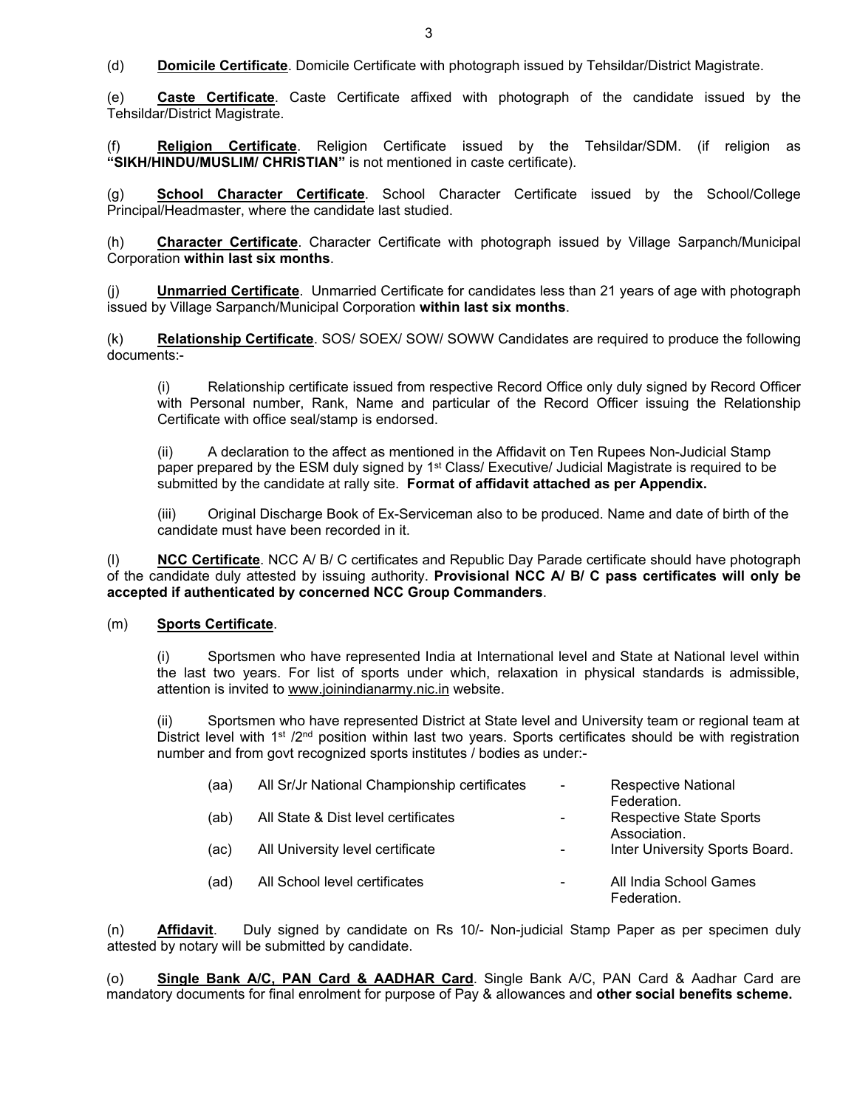(d) **Domicile Certificate**. Domicile Certificate with photograph issued by Tehsildar/District Magistrate.

(e) **Caste Certificate**. Caste Certificate affixed with photograph of the candidate issued by the Tehsildar/District Magistrate.

(f) **Religion Certificate**. Religion Certificate issued by the Tehsildar/SDM. (if religion as **"SIKH/HINDU/MUSLIM/ CHRISTIAN"** is not mentioned in caste certificate).

(g) **School Character Certificate**. School Character Certificate issued by the School/College Principal/Headmaster, where the candidate last studied.

(h) **Character Certificate**. Character Certificate with photograph issued by Village Sarpanch/Municipal Corporation **within last six months**.

(j) **Unmarried Certificate**. Unmarried Certificate for candidates less than 21 years of age with photograph issued by Village Sarpanch/Municipal Corporation **within last six months**.

(k) **Relationship Certificate**. SOS/ SOEX/ SOW/ SOWW Candidates are required to produce the following documents:-

(i) Relationship certificate issued from respective Record Office only duly signed by Record Officer with Personal number, Rank, Name and particular of the Record Officer issuing the Relationship Certificate with office seal/stamp is endorsed.

(ii) A declaration to the affect as mentioned in the Affidavit on Ten Rupees Non-Judicial Stamp paper prepared by the ESM duly signed by 1<sup>st</sup> Class/ Executive/ Judicial Magistrate is required to be submitted by the candidate at rally site. **Format of affidavit attached as per Appendix.**

(iii) Original Discharge Book of Ex-Serviceman also to be produced. Name and date of birth of the candidate must have been recorded in it.

(l) **NCC Certificate**. NCC A/ B/ C certificates and Republic Day Parade certificate should have photograph of the candidate duly attested by issuing authority. **Provisional NCC A/ B/ C pass certificates will only be accepted if authenticated by concerned NCC Group Commanders**.

#### (m) **Sports Certificate**.

(i) Sportsmen who have represented India at International level and State at National level within the last two years. For list of sports under which, relaxation in physical standards is admissible, attention is invited to [www.joinindianarmy.nic.in](http://www.joinindianarmy.nic.in/) website.

(ii) Sportsmen who have represented District at State level and University team or regional team at District level with 1<sup>st</sup> /2<sup>nd</sup> position within last two years. Sports certificates should be with registration number and from govt recognized sports institutes / bodies as under:-

| (aa) | All Sr/Jr National Championship certificates | $\overline{\phantom{a}}$ | Respective National<br>Federation.      |
|------|----------------------------------------------|--------------------------|-----------------------------------------|
| (ab) | All State & Dist level certificates          |                          | Respective State Sports<br>Association. |
| (ac) | All University level certificate             | $\overline{\phantom{a}}$ | Inter University Sports Board.          |
| (ad) | All School level certificates                | $\overline{\phantom{a}}$ | All India School Games<br>Federation.   |

(n) **Affidavit**. Duly signed by candidate on Rs 10/- Non-judicial Stamp Paper as per specimen duly attested by notary will be submitted by candidate.

(o) **Single Bank A/C, PAN Card & AADHAR Card**. Single Bank A/C, PAN Card & Aadhar Card are mandatory documents for final enrolment for purpose of Pay & allowances and **other social benefits scheme.**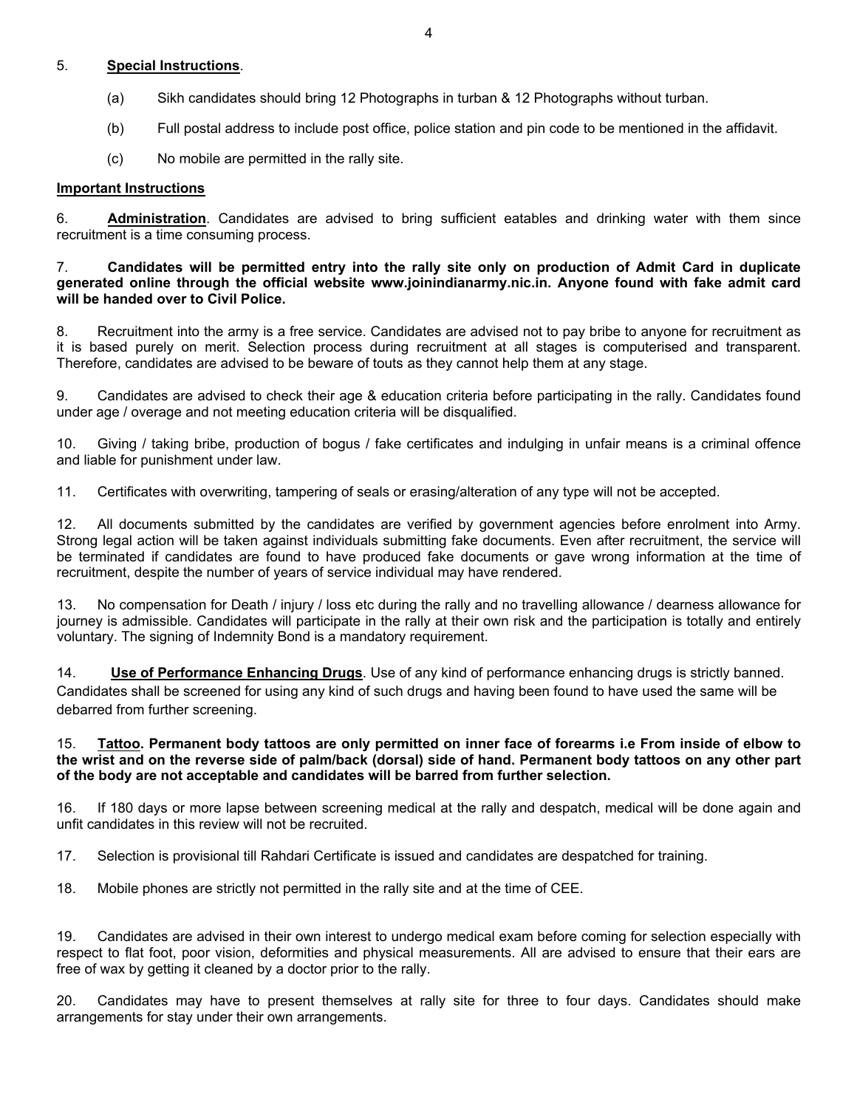## 5. **Special Instructions**.

- (a) Sikh candidates should bring 12 Photographs in turban & 12 Photographs without turban.
- (b) Full postal address to include post office, police station and pin code to be mentioned in the affidavit.
- (c) No mobile are permitted in the rally site.

#### **Important Instructions**

6. **Administration**. Candidates are advised to bring sufficient eatables and drinking water with them since recruitment is a time consuming process.

#### 7. **Candidates will be permitted entry into the rally site only on production of Admit Card in duplicate generated online through the official website www.joinindianarmy.nic.in. Anyone found with fake admit card will be handed over to Civil Police.**

8. Recruitment into the army is a free service. Candidates are advised not to pay bribe to anyone for recruitment as it is based purely on merit. Selection process during recruitment at all stages is computerised and transparent. Therefore, candidates are advised to be beware of touts as they cannot help them at any stage.

9. Candidates are advised to check their age & education criteria before participating in the rally. Candidates found under age / overage and not meeting education criteria will be disqualified.

10. Giving / taking bribe, production of bogus / fake certificates and indulging in unfair means is a criminal offence and liable for punishment under law.

11. Certificates with overwriting, tampering of seals or erasing/alteration of any type will not be accepted.

12. All documents submitted by the candidates are verified by government agencies before enrolment into Army. Strong legal action will be taken against individuals submitting fake documents. Even after recruitment, the service will be terminated if candidates are found to have produced fake documents or gave wrong information at the time of recruitment, despite the number of years of service individual may have rendered.

13. No compensation for Death / injury / loss etc during the rally and no travelling allowance / dearness allowance for journey is admissible. Candidates will participate in the rally at their own risk and the participation is totally and entirely voluntary. The signing of Indemnity Bond is a mandatory requirement.

14. **Use of Performance Enhancing Drugs**. Use of any kind of performance enhancing drugs is strictly banned. Candidates shall be screened for using any kind of such drugs and having been found to have used the same will be debarred from further screening.

## 15. Tattoo. Permanent body tattoos are only permitted on inner face of forearms i.e From inside of elbow to the wrist and on the reverse side of palm/back (dorsal) side of hand. Permanent body tattoos on any other part **of the body are not acceptable and candidates will be barred from further selection.**

16. If 180 days or more lapse between screening medical at the rally and despatch, medical will be done again and unfit candidates in this review will not be recruited.

17. Selection is provisional till Rahdari Certificate is issued and candidates are despatched for training.

18. Mobile phones are strictly not permitted in the rally site and at the time of CEE.

19. Candidates are advised in their own interest to undergo medical exam before coming for selection especially with respect to flat foot, poor vision, deformities and physical measurements. All are advised to ensure that their ears are free of wax by getting it cleaned by a doctor prior to the rally.

20. Candidates may have to present themselves at rally site for three to four days. Candidates should make arrangements for stay under their own arrangements.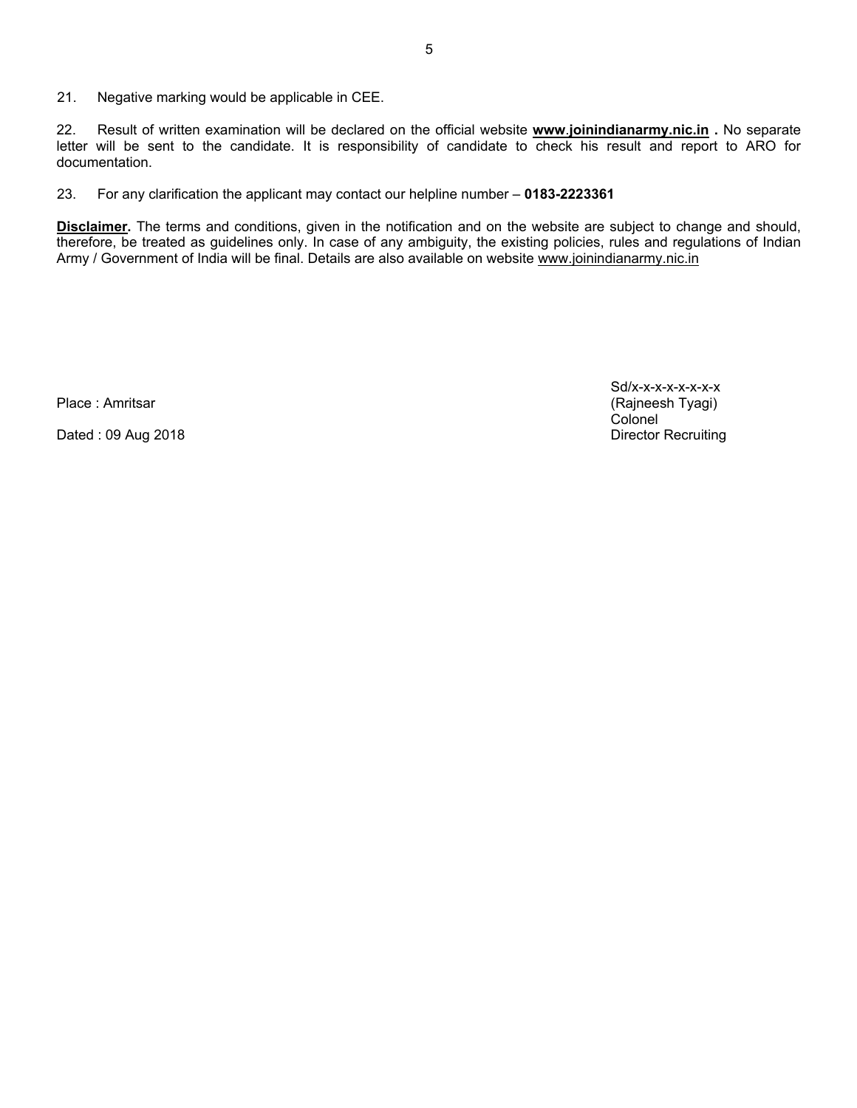21. Negative marking would be applicable in CEE.

22. Result of written examination will be declared on the official website **[www](http://www.joinindianarmy.nic.in/)**[.](http://www.joinindianarmy.nic.in/)**[joinindianarmy.nic.in](http://www.joinindianarmy.nic.in/) .** No separate letter will be sent to the candidate. It is responsibility of candidate to check his result and report to ARO for documentation.

23. For any clarification the applicant may contact our helpline number – **0183-2223361**

**Disclaimer.** The terms and conditions, given in the notification and on the website are subject to change and should, therefore, be treated as guidelines only. In case of any ambiguity, the existing policies, rules and regulations of Indian Army / Government of India will be final. Details are also available on website [www.joinindianarmy.nic.in](http://www.joinindianarmy.nic.in/)

Dated : 09 Aug 2018

Sd/x-x-x-x-x-x-x-x Place : Amritsar (Rajneesh Tyagi) Colonel<br>Director Recruiting